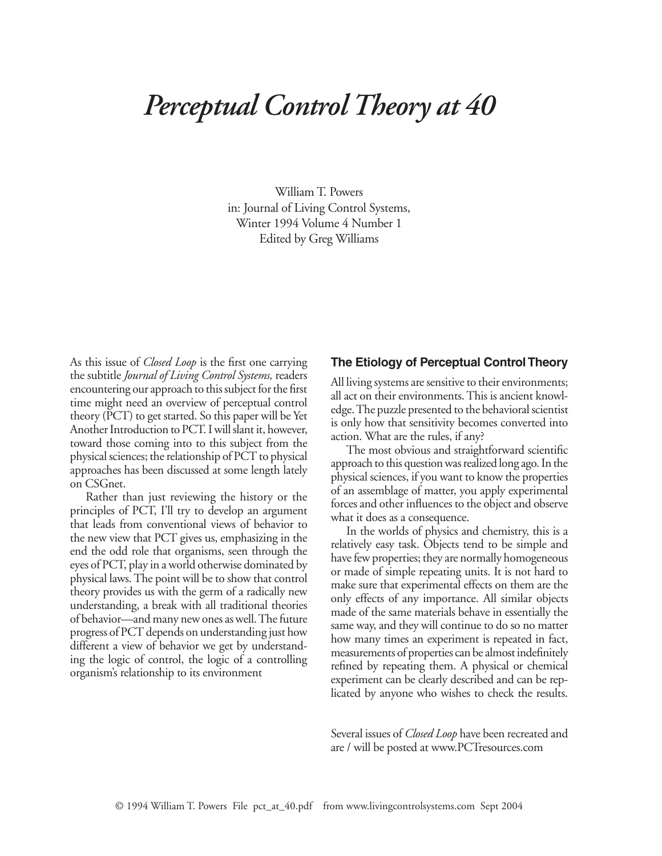# *Perceptual Control Theory at 40*

William T. Powers in: Journal of Living Control Systems, Winter 1994 Volume 4 Number 1 Edited by Greg Williams

As this issue of *Closed Loop* is the first one carrying the subtitle *Journal of Living Control Systems,* readers encountering our approach to this subject for the first time might need an overview of perceptual control theory (PCT) to get started. So this paper will be Yet Another Introduction to PCT. I will slant it, however, toward those coming into to this subject from the physical sciences; the relationship of PCT to physical approaches has been discussed at some length lately on CSGnet.

Rather than just reviewing the history or the principles of PCT, I'll try to develop an argument that leads from conventional views of behavior to the new view that PCT gives us, emphasizing in the end the odd role that organisms, seen through the eyes of PCT, play in a world otherwise dominated by physical laws. The point will be to show that control theory provides us with the germ of a radically new understanding, a break with all traditional theories of behavior—and many new ones as well. The future progress of PCT depends on understanding just how different a view of behavior we get by understanding the logic of control, the logic of a controlling organism's relationship to its environment

## **The Etiology of Perceptual Control Theory**

All living systems are sensitive to their environments; all act on their environments. This is ancient knowledge. The puzzle presented to the behavioral scientist is only how that sensitivity becomes converted into action. What are the rules, if any?

The most obvious and straightforward scientific approach to this question was realized long ago. In the physical sciences, if you want to know the properties of an assemblage of matter, you apply experimental forces and other influences to the object and observe what it does as a consequence.

In the worlds of physics and chemistry, this is a relatively easy task. Objects tend to be simple and have few properties; they are normally homogeneous or made of simple repeating units. It is not hard to make sure that experimental effects on them are the only effects of any importance. All similar objects made of the same materials behave in essentially the same way, and they will continue to do so no matter how many times an experiment is repeated in fact, measurements of properties can be almost indefinitely refined by repeating them. A physical or chemical experiment can be clearly described and can be replicated by anyone who wishes to check the results.

Several issues of *Closed Loop* have been recreated and are / will be posted at www.PCTresources.com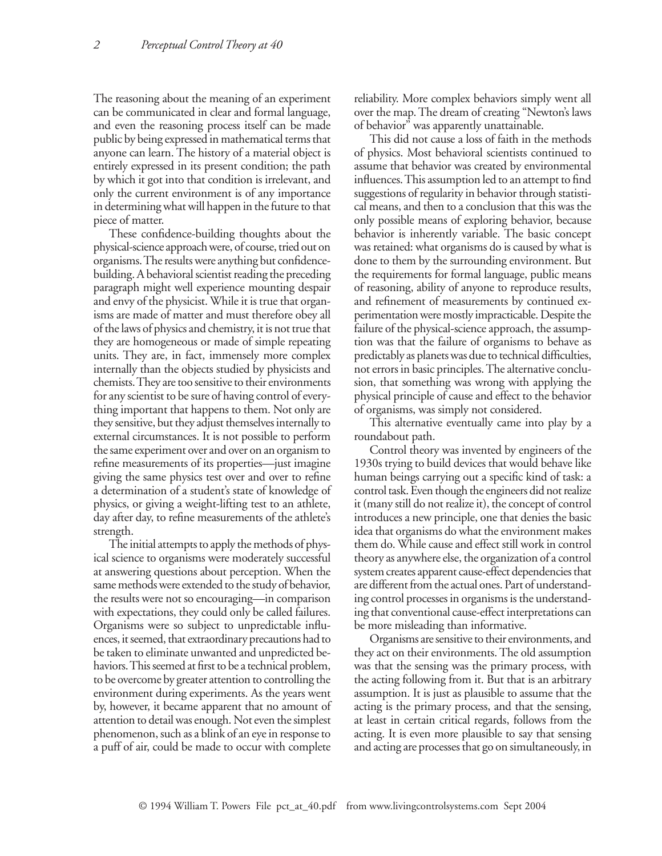The reasoning about the meaning of an experiment can be communicated in clear and formal language, and even the reasoning process itself can be made public by being expressed in mathematical terms that anyone can learn. The history of a material object is entirely expressed in its present condition; the path by which it got into that condition is irrelevant, and only the current environment is of any importance in determining what will happen in the future to that piece of matter.

These confidence-building thoughts about the physical-science approach were, of course, tried out on organisms. The results were anything but confidencebuilding. A behavioral scientist reading the preceding paragraph might well experience mounting despair and envy of the physicist. While it is true that organisms are made of matter and must therefore obey all of the laws of physics and chemistry, it is not true that they are homogeneous or made of simple repeating units. They are, in fact, immensely more complex internally than the objects studied by physicists and chemists. They are too sensitive to their environments for any scientist to be sure of having control of everything important that happens to them. Not only are they sensitive, but they adjust themselves internally to external circumstances. It is not possible to perform the same experiment over and over on an organism to refine measurements of its properties—just imagine giving the same physics test over and over to refine a determination of a student's state of knowledge of physics, or giving a weight-lifting test to an athlete, day after day, to refine measurements of the athlete's strength.

The initial attempts to apply the methods of physical science to organisms were moderately successful at answering questions about perception. When the same methods were extended to the study of behavior, the results were not so encouraging—in comparison with expectations, they could only be called failures. Organisms were so subject to unpredictable influences, it seemed, that extraordinary precautions had to be taken to eliminate unwanted and unpredicted behaviors. This seemed at first to be a technical problem, to be overcome by greater attention to controlling the environment during experiments. As the years went by, however, it became apparent that no amount of attention to detail was enough. Not even the simplest phenomenon, such as a blink of an eye in response to a puff of air, could be made to occur with complete

reliability. More complex behaviors simply went all over the map. The dream of creating "Newton's laws of behavior" was apparently unattainable.

This did not cause a loss of faith in the methods of physics. Most behavioral scientists continued to assume that behavior was created by environmental influences. This assumption led to an attempt to find suggestions of regularity in behavior through statistical means, and then to a conclusion that this was the only possible means of exploring behavior, because behavior is inherently variable. The basic concept was retained: what organisms do is caused by what is done to them by the surrounding environment. But the requirements for formal language, public means of reasoning, ability of anyone to reproduce results, and refinement of measurements by continued experimentation were mostly impracticable. Despite the failure of the physical-science approach, the assumption was that the failure of organisms to behave as predictably as planets was due to technical difficulties, not errors in basic principles. The alternative conclusion, that something was wrong with applying the physical principle of cause and effect to the behavior of organisms, was simply not considered.

This alternative eventually came into play by a roundabout path.

Control theory was invented by engineers of the 1930s trying to build devices that would behave like human beings carrying out a specific kind of task: a control task. Even though the engineers did not realize it (many still do not realize it), the concept of control introduces a new principle, one that denies the basic idea that organisms do what the environment makes them do. While cause and effect still work in control theory as anywhere else, the organization of a control system creates apparent cause-effect dependencies that are different from the actual ones. Part of understanding control processes in organisms is the understanding that conventional cause-effect interpretations can be more misleading than informative.

Organisms are sensitive to their environments, and they act on their environments. The old assumption was that the sensing was the primary process, with the acting following from it. But that is an arbitrary assumption. It is just as plausible to assume that the acting is the primary process, and that the sensing, at least in certain critical regards, follows from the acting. It is even more plausible to say that sensing and acting are processes that go on simultaneously, in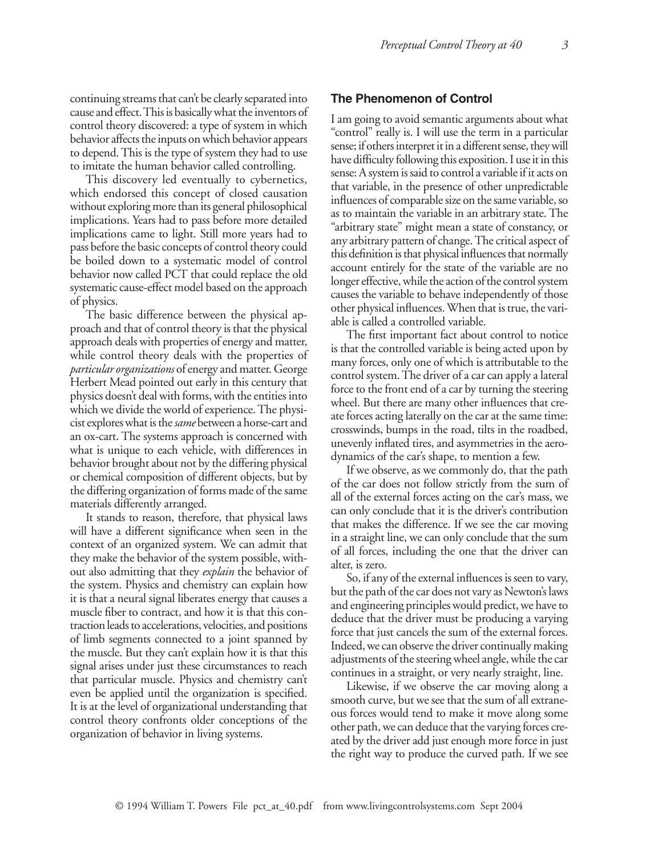continuing streams that can't be clearly separated into cause and effect. This is basically what the inventors of control theory discovered: a type of system in which behavior affects the inputs on which behavior appears to depend. This is the type of system they had to use to imitate the human behavior called controlling.

This discovery led eventually to cybernetics, which endorsed this concept of closed causation without exploring more than its general philosophical implications. Years had to pass before more detailed implications came to light. Still more years had to pass before the basic concepts of control theory could be boiled down to a systematic model of control behavior now called PCT that could replace the old systematic cause-effect model based on the approach of physics.

The basic difference between the physical approach and that of control theory is that the physical approach deals with properties of energy and matter, while control theory deals with the properties of *particular organizations* of energy and matter. George Herbert Mead pointed out early in this century that physics doesn't deal with forms, with the entities into which we divide the world of experience. The physicist explores what is the *same* between a horse-cart and an ox-cart. The systems approach is concerned with what is unique to each vehicle, with differences in behavior brought about not by the differing physical or chemical composition of different objects, but by the differing organization of forms made of the same materials differently arranged.

It stands to reason, therefore, that physical laws will have a different significance when seen in the context of an organized system. We can admit that they make the behavior of the system possible, without also admitting that they *explain* the behavior of the system. Physics and chemistry can explain how it is that a neural signal liberates energy that causes a muscle fiber to contract, and how it is that this contraction leads to accelerations, velocities, and positions of limb segments connected to a joint spanned by the muscle. But they can't explain how it is that this signal arises under just these circumstances to reach that particular muscle. Physics and chemistry can't even be applied until the organization is specified. It is at the level of organizational understanding that control theory confronts older conceptions of the organization of behavior in living systems.

### **The Phenomenon of Control**

I am going to avoid semantic arguments about what "control" really is. I will use the term in a particular sense; if others interpret it in a different sense, they will have difficulty following this exposition. I use it in this sense: A system is said to control a variable if it acts on that variable, in the presence of other unpredictable influences of comparable size on the same variable, so as to maintain the variable in an arbitrary state. The "arbitrary state" might mean a state of constancy, or any arbitrary pattern of change. The critical aspect of this definition is that physical influences that normally account entirely for the state of the variable are no longer effective, while the action of the control system causes the variable to behave independently of those other physical influences. When that is true, the variable is called a controlled variable.

The first important fact about control to notice is that the controlled variable is being acted upon by many forces, only one of which is attributable to the control system. The driver of a car can apply a lateral force to the front end of a car by turning the steering wheel. But there are many other influences that create forces acting laterally on the car at the same time: crosswinds, bumps in the road, tilts in the roadbed, unevenly inflated tires, and asymmetries in the aerodynamics of the car's shape, to mention a few.

If we observe, as we commonly do, that the path of the car does not follow strictly from the sum of all of the external forces acting on the car's mass, we can only conclude that it is the driver's contribution that makes the difference. If we see the car moving in a straight line, we can only conclude that the sum of all forces, including the one that the driver can alter, is zero.

So, if any of the external influences is seen to vary, but the path of the car does not vary as Newton's laws and engineering principles would predict, we have to deduce that the driver must be producing a varying force that just cancels the sum of the external forces. Indeed, we can observe the driver continually making adjustments of the steering wheel angle, while the car continues in a straight, or very nearly straight, line.

Likewise, if we observe the car moving along a smooth curve, but we see that the sum of all extraneous forces would tend to make it move along some other path, we can deduce that the varying forces created by the driver add just enough more force in just the right way to produce the curved path. If we see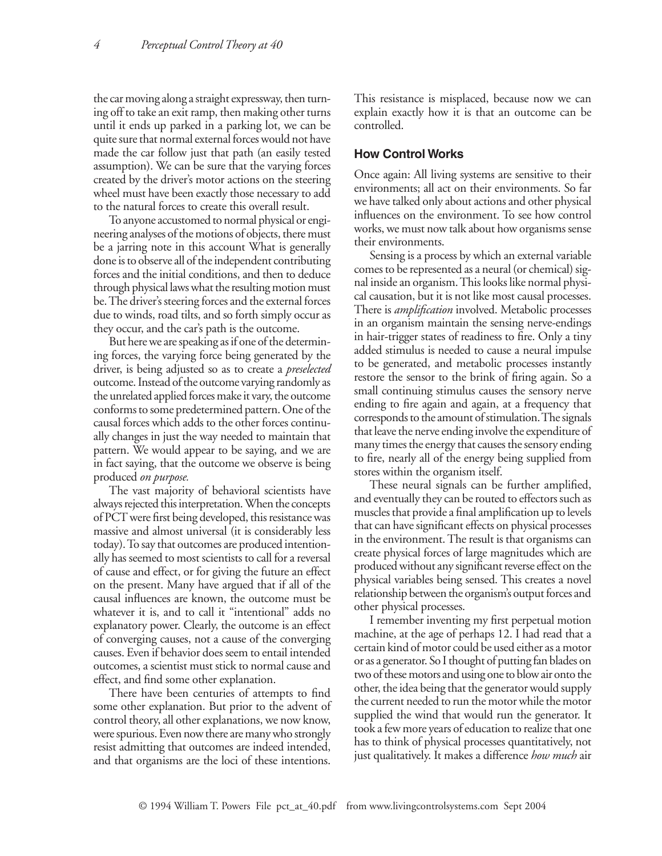the car moving along a straight expressway, then turning off to take an exit ramp, then making other turns until it ends up parked in a parking lot, we can be quite sure that normal external forces would not have made the car follow just that path (an easily tested assumption). We can be sure that the varying forces created by the driver's motor actions on the steering wheel must have been exactly those necessary to add to the natural forces to create this overall result.

To anyone accustomed to normal physical or engineering analyses of the motions of objects, there must be a jarring note in this account What is generally done is to observe all of the independent contributing forces and the initial conditions, and then to deduce through physical laws what the resulting motion must be. The driver's steering forces and the external forces due to winds, road tilts, and so forth simply occur as they occur, and the car's path is the outcome.

But here we are speaking as if one of the determining forces, the varying force being generated by the driver, is being adjusted so as to create a *preselected*  outcome. Instead of the outcome varying randomly as the unrelated applied forces make it vary, the outcome conforms to some predetermined pattern. One of the causal forces which adds to the other forces continually changes in just the way needed to maintain that pattern. We would appear to be saying, and we are in fact saying, that the outcome we observe is being produced *on purpose.*

The vast majority of behavioral scientists have always rejected this interpretation. When the concepts of PCT were first being developed, this resistance was massive and almost universal (it is considerably less today). To say that outcomes are produced intentionally has seemed to most scientists to call for a reversal of cause and effect, or for giving the future an effect on the present. Many have argued that if all of the causal influences are known, the outcome must be whatever it is, and to call it "intentional" adds no explanatory power. Clearly, the outcome is an effect of converging causes, not a cause of the converging causes. Even if behavior does seem to entail intended outcomes, a scientist must stick to normal cause and effect, and find some other explanation.

There have been centuries of attempts to find some other explanation. But prior to the advent of control theory, all other explanations, we now know, were spurious. Even now there are many who strongly resist admitting that outcomes are indeed intended, and that organisms are the loci of these intentions.

This resistance is misplaced, because now we can explain exactly how it is that an outcome can be controlled.

### **How Control Works**

Once again: All living systems are sensitive to their environments; all act on their environments. So far we have talked only about actions and other physical influences on the environment. To see how control works, we must now talk about how organisms sense their environments.

Sensing is a process by which an external variable comes to be represented as a neural (or chemical) signal inside an organism. This looks like normal physical causation, but it is not like most causal processes. There is *amplification* involved. Metabolic processes in an organism maintain the sensing nerve-endings in hair-trigger states of readiness to fire. Only a tiny added stimulus is needed to cause a neural impulse to be generated, and metabolic processes instantly restore the sensor to the brink of firing again. So a small continuing stimulus causes the sensory nerve ending to fire again and again, at a frequency that corresponds to the amount of stimulation. The signals that leave the nerve ending involve the expenditure of many times the energy that causes the sensory ending to fire, nearly all of the energy being supplied from stores within the organism itself.

These neural signals can be further amplified, and eventually they can be routed to effectors such as muscles that provide a final amplification up to levels that can have significant effects on physical processes in the environment. The result is that organisms can create physical forces of large magnitudes which are produced without any significant reverse effect on the physical variables being sensed. This creates a novel relationship between the organism's output forces and other physical processes.

I remember inventing my first perpetual motion machine, at the age of perhaps 12. I had read that a certain kind of motor could be used either as a motor or as a generator. So I thought of putting fan blades on two of these motors and using one to blow air onto the other, the idea being that the generator would supply the current needed to run the motor while the motor supplied the wind that would run the generator. It took a few more years of education to realize that one has to think of physical processes quantitatively, not just qualitatively. It makes a difference *how much* air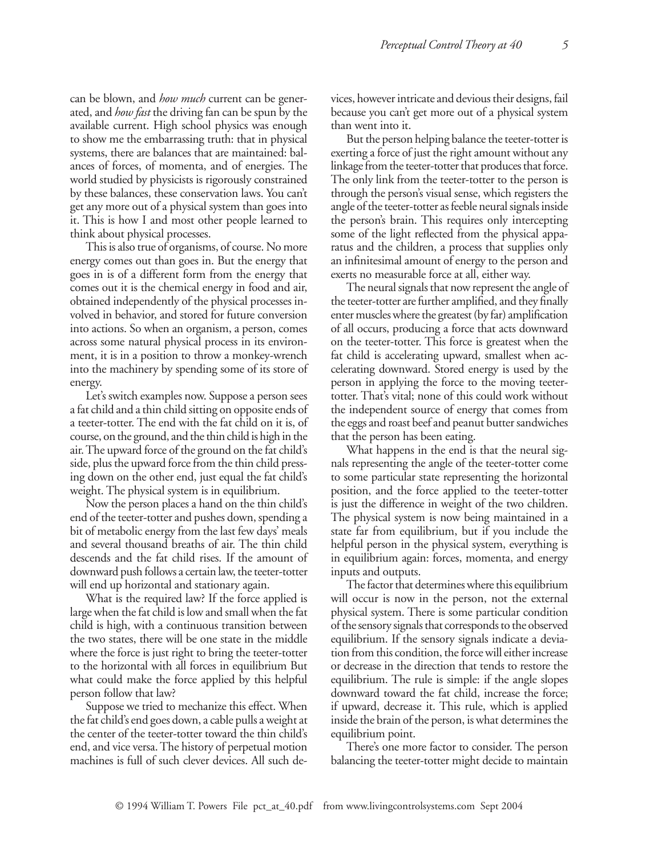can be blown, and *how much* current can be generated, and *how fast* the driving fan can be spun by the available current. High school physics was enough to show me the embarrassing truth: that in physical systems, there are balances that are maintained: balances of forces, of momenta, and of energies. The world studied by physicists is rigorously constrained by these balances, these conservation laws. You can't get any more out of a physical system than goes into it. This is how I and most other people learned to think about physical processes.

This is also true of organisms, of course. No more energy comes out than goes in. But the energy that goes in is of a different form from the energy that comes out it is the chemical energy in food and air, obtained independently of the physical processes involved in behavior, and stored for future conversion into actions. So when an organism, a person, comes across some natural physical process in its environment, it is in a position to throw a monkey-wrench into the machinery by spending some of its store of energy.

Let's switch examples now. Suppose a person sees a fat child and a thin child sitting on opposite ends of a teeter-totter. The end with the fat child on it is, of course, on the ground, and the thin child is high in the air. The upward force of the ground on the fat child's side, plus the upward force from the thin child pressing down on the other end, just equal the fat child's weight. The physical system is in equilibrium.

Now the person places a hand on the thin child's end of the teeter-totter and pushes down, spending a bit of metabolic energy from the last few days' meals and several thousand breaths of air. The thin child descends and the fat child rises. If the amount of downward push follows a certain law, the teeter-totter will end up horizontal and stationary again.

What is the required law? If the force applied is large when the fat child is low and small when the fat child is high, with a continuous transition between the two states, there will be one state in the middle where the force is just right to bring the teeter-totter to the horizontal with all forces in equilibrium But what could make the force applied by this helpful person follow that law?

Suppose we tried to mechanize this effect. When the fat child's end goes down, a cable pulls a weight at the center of the teeter-totter toward the thin child's end, and vice versa. The history of perpetual motion machines is full of such clever devices. All such devices, however intricate and devious their designs, fail because you can't get more out of a physical system than went into it.

But the person helping balance the teeter-totter is exerting a force of just the right amount without any linkage from the teeter-totter that produces that force. The only link from the teeter-totter to the person is through the person's visual sense, which registers the angle of the teeter-totter as feeble neural signals inside the person's brain. This requires only intercepting some of the light reflected from the physical apparatus and the children, a process that supplies only an infinitesimal amount of energy to the person and exerts no measurable force at all, either way.

The neural signals that now represent the angle of the teeter-totter are further amplified, and they finally enter muscles where the greatest (by far) amplification of all occurs, producing a force that acts downward on the teeter-totter. This force is greatest when the fat child is accelerating upward, smallest when accelerating downward. Stored energy is used by the person in applying the force to the moving teetertotter. That's vital; none of this could work without the independent source of energy that comes from the eggs and roast beef and peanut butter sandwiches that the person has been eating.

What happens in the end is that the neural signals representing the angle of the teeter-totter come to some particular state representing the horizontal position, and the force applied to the teeter-totter is just the difference in weight of the two children. The physical system is now being maintained in a state far from equilibrium, but if you include the helpful person in the physical system, everything is in equilibrium again: forces, momenta, and energy inputs and outputs.

The factor that determines where this equilibrium will occur is now in the person, not the external physical system. There is some particular condition of the sensory signals that corresponds to the observed equilibrium. If the sensory signals indicate a deviation from this condition, the force will either increase or decrease in the direction that tends to restore the equilibrium. The rule is simple: if the angle slopes downward toward the fat child, increase the force; if upward, decrease it. This rule, which is applied inside the brain of the person, is what determines the equilibrium point.

There's one more factor to consider. The person balancing the teeter-totter might decide to maintain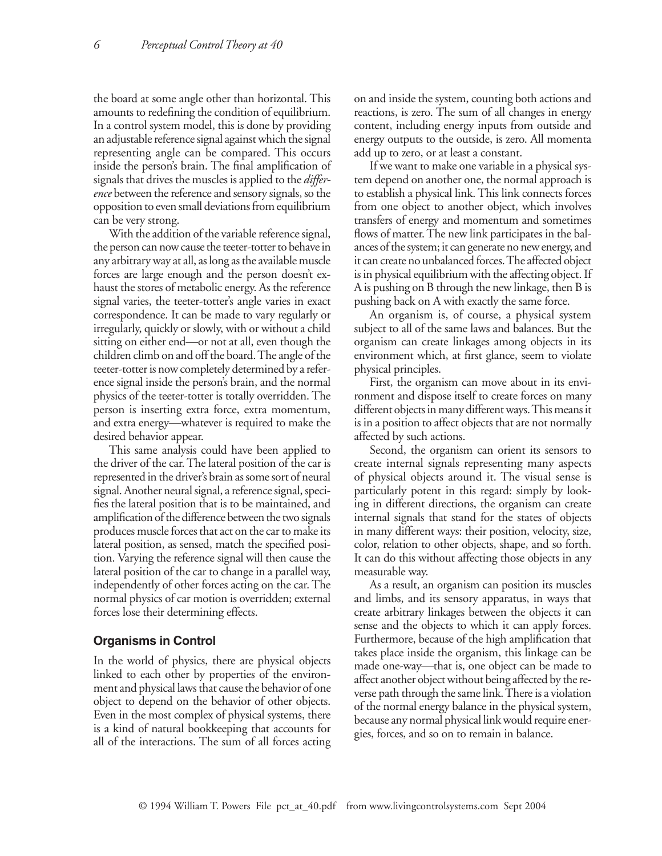the board at some angle other than horizontal. This amounts to redefining the condition of equilibrium. In a control system model, this is done by providing an adjustable reference signal against which the signal representing angle can be compared. This occurs inside the person's brain. The final amplification of signals that drives the muscles is applied to the *difference* between the reference and sensory signals, so the opposition to even small deviations from equilibrium can be very strong.

With the addition of the variable reference signal, the person can now cause the teeter-totter to behave in any arbitrary way at all, as long as the available muscle forces are large enough and the person doesn't exhaust the stores of metabolic energy. As the reference signal varies, the teeter-totter's angle varies in exact correspondence. It can be made to vary regularly or irregularly, quickly or slowly, with or without a child sitting on either end—or not at all, even though the children climb on and off the board. The angle of the teeter-totter is now completely determined by a reference signal inside the person's brain, and the normal physics of the teeter-totter is totally overridden. The person is inserting extra force, extra momentum, and extra energy—whatever is required to make the desired behavior appear.

This same analysis could have been applied to the driver of the car. The lateral position of the car is represented in the driver's brain as some sort of neural signal. Another neural signal, a reference signal, specifies the lateral position that is to be maintained, and amplification of the difference between the two signals produces muscle forces that act on the car to make its lateral position, as sensed, match the specified position. Varying the reference signal will then cause the lateral position of the car to change in a parallel way, independently of other forces acting on the car. The normal physics of car motion is overridden; external forces lose their determining effects.

#### **Organisms in Control**

In the world of physics, there are physical objects linked to each other by properties of the environment and physical laws that cause the behavior of one object to depend on the behavior of other objects. Even in the most complex of physical systems, there is a kind of natural bookkeeping that accounts for all of the interactions. The sum of all forces acting on and inside the system, counting both actions and reactions, is zero. The sum of all changes in energy content, including energy inputs from outside and energy outputs to the outside, is zero. All momenta add up to zero, or at least a constant.

If we want to make one variable in a physical system depend on another one, the normal approach is to establish a physical link. This link connects forces from one object to another object, which involves transfers of energy and momentum and sometimes flows of matter. The new link participates in the balances of the system; it can generate no new energy, and it can create no unbalanced forces. The affected object is in physical equilibrium with the affecting object. If A is pushing on B through the new linkage, then B is pushing back on A with exactly the same force.

An organism is, of course, a physical system subject to all of the same laws and balances. But the organism can create linkages among objects in its environment which, at first glance, seem to violate physical principles.

First, the organism can move about in its environment and dispose itself to create forces on many different objects in many different ways. This means it is in a position to affect objects that are not normally affected by such actions.

Second, the organism can orient its sensors to create internal signals representing many aspects of physical objects around it. The visual sense is particularly potent in this regard: simply by looking in different directions, the organism can create internal signals that stand for the states of objects in many different ways: their position, velocity, size, color, relation to other objects, shape, and so forth. It can do this without affecting those objects in any measurable way.

As a result, an organism can position its muscles and limbs, and its sensory apparatus, in ways that create arbitrary linkages between the objects it can sense and the objects to which it can apply forces. Furthermore, because of the high amplification that takes place inside the organism, this linkage can be made one-way—that is, one object can be made to affect another object without being affected by the reverse path through the same link. There is a violation of the normal energy balance in the physical system, because any normal physical link would require energies, forces, and so on to remain in balance.